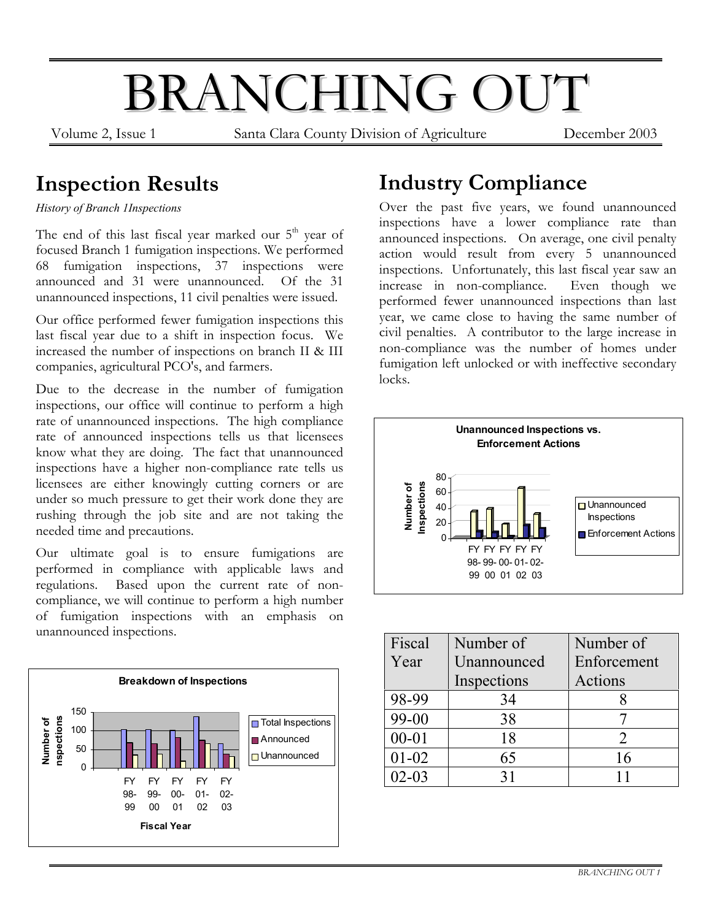# BRANCHING OUT

Volume 2, Issue 1 Santa Clara County Division of Agriculture December 2003

#### **Inspection Results**

*History of Branch 1Inspections*

The end of this last fiscal year marked our 5<sup>th</sup> year of focused Branch 1 fumigation inspections. We performed 68 fumigation inspections, 37 inspections were announced and 31 were unannounced. Of the 31 unannounced inspections, 11 civil penalties were issued.

Our office performed fewer fumigation inspections this last fiscal year due to a shift in inspection focus. We increased the number of inspections on branch II & III companies, agricultural PCO's, and farmers.

Due to the decrease in the number of fumigation inspections, our office will continue to perform a high rate of unannounced inspections. The high compliance rate of announced inspections tells us that licensees know what they are doing. The fact that unannounced inspections have a higher non-compliance rate tells us licensees are either knowingly cutting corners or are under so much pressure to get their work done they are rushing through the job site and are not taking the needed time and precautions.

Our ultimate goal is to ensure fumigations are performed in compliance with applicable laws and regulations. Based upon the current rate of noncompliance, we will continue to perform a high number of fumigation inspections with an emphasis on unannounced inspections.



#### **Industry Compliance**

Over the past five years, we found unannounced inspections have a lower compliance rate than announced inspections. On average, one civil penalty action would result from every 5 unannounced inspections. Unfortunately, this last fiscal year saw an increase in non-compliance. Even though we increase in non-compliance. performed fewer unannounced inspections than last year, we came close to having the same number of civil penalties. A contributor to the large increase in non-compliance was the number of homes under fumigation left unlocked or with ineffective secondary locks.



| Fiscal    | Number of   | Number of     |
|-----------|-------------|---------------|
| Year      | Unannounced | Enforcement   |
|           | Inspections | Actions       |
| 98-99     | 34          |               |
| 99-00     | 38          |               |
| $00 - 01$ | 18          | $\mathcal{D}$ |
| $01 - 02$ | 65          | 16            |
| $02 - 03$ | 31          |               |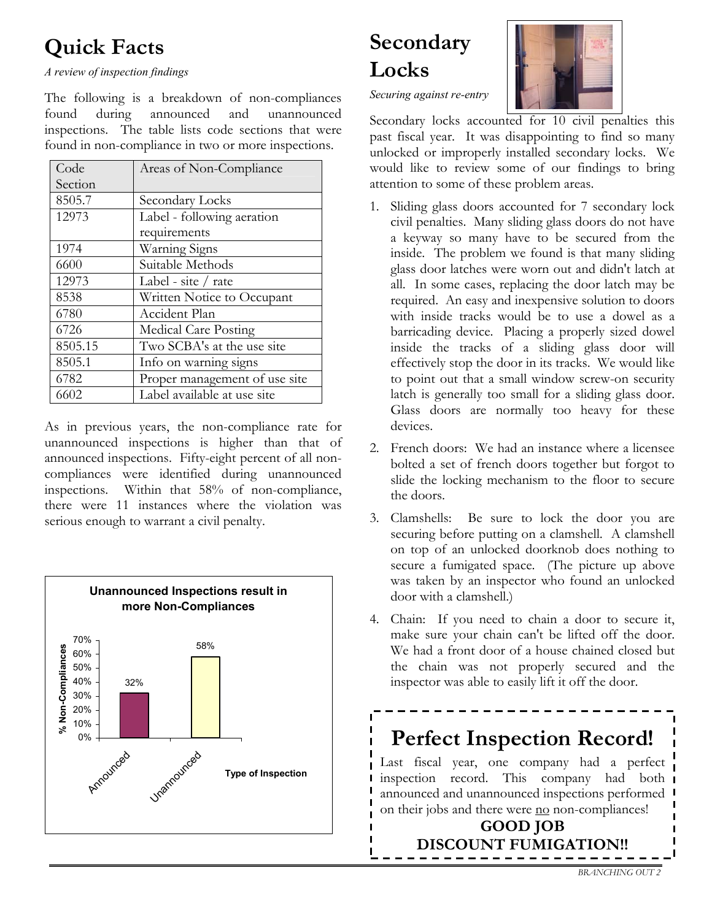#### **Quick Facts**

*A review of inspection findings* 

The following is a breakdown of non-compliances found during announced and unannounced inspections. The table lists code sections that were found in non-compliance in two or more inspections.

| Code    | Areas of Non-Compliance       |  |
|---------|-------------------------------|--|
| Section |                               |  |
| 8505.7  | Secondary Locks               |  |
| 12973   | Label - following aeration    |  |
|         | requirements                  |  |
| 1974    | Warning Signs                 |  |
| 6600    | Suitable Methods              |  |
| 12973   | Label - site $/$ rate         |  |
| 8538    | Written Notice to Occupant    |  |
| 6780    | Accident Plan                 |  |
| 6726    | Medical Care Posting          |  |
| 8505.15 | Two SCBA's at the use site    |  |
| 8505.1  | Info on warning signs         |  |
| 6782    | Proper management of use site |  |
| 6602    | Label available at use site   |  |

As in previous years, the non-compliance rate for unannounced inspections is higher than that of announced inspections. Fifty-eight percent of all noncompliances were identified during unannounced inspections. Within that 58% of non-compliance, there were 11 instances where the violation was serious enough to warrant a civil penalty.



## **Secondary Locks**



*Securing against re-entry* 

Secondary locks accounted for 10 civil penalties this past fiscal year. It was disappointing to find so many unlocked or improperly installed secondary locks. We would like to review some of our findings to bring attention to some of these problem areas.

- 1. Sliding glass doors accounted for 7 secondary lock civil penalties. Many sliding glass doors do not have a keyway so many have to be secured from the inside. The problem we found is that many sliding glass door latches were worn out and didn't latch at all. In some cases, replacing the door latch may be required. An easy and inexpensive solution to doors with inside tracks would be to use a dowel as a barricading device. Placing a properly sized dowel inside the tracks of a sliding glass door will effectively stop the door in its tracks. We would like to point out that a small window screw-on security latch is generally too small for a sliding glass door. Glass doors are normally too heavy for these devices.
- 2. French doors: We had an instance where a licensee bolted a set of french doors together but forgot to slide the locking mechanism to the floor to secure the doors.
- 3. Clamshells: Be sure to lock the door you are securing before putting on a clamshell. A clamshell on top of an unlocked doorknob does nothing to secure a fumigated space. (The picture up above was taken by an inspector who found an unlocked door with a clamshell.)
- 4. Chain: If you need to chain a door to secure it, make sure your chain can't be lifted off the door. We had a front door of a house chained closed but the chain was not properly secured and the inspector was able to easily lift it off the door.

#### **Perfect Inspection Record!** Last fiscal year, one company had a perfect inspection record. This company had both announced and unannounced inspections performed on their jobs and there were no non-compliances! **GOOD JOB DISCOUNT FUMIGATION!!**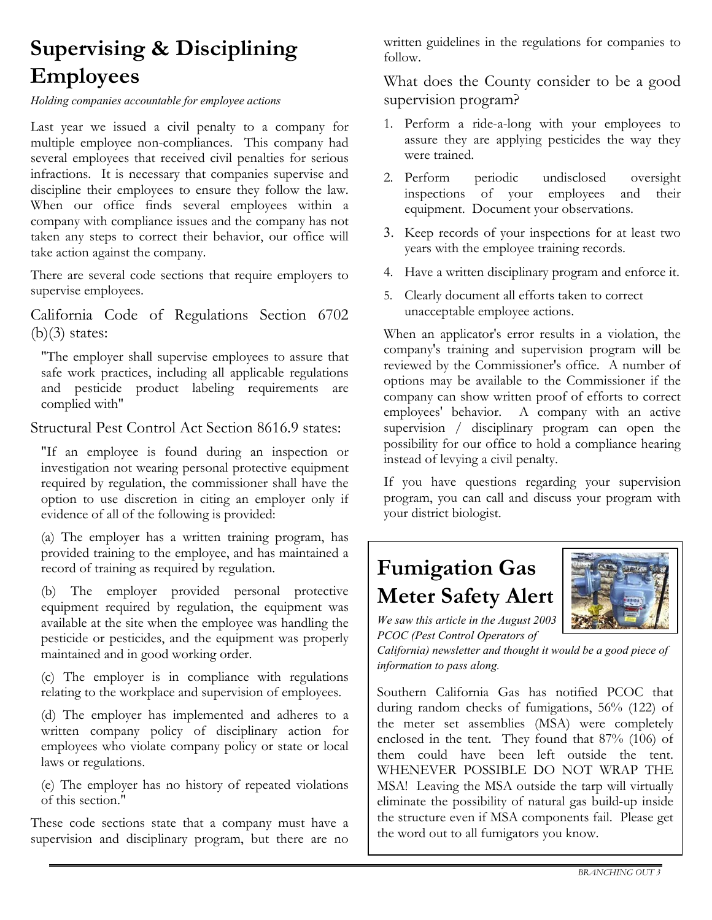#### **Supervising & Disciplining Employees**

*Holding companies accountable for employee actions* 

Last year we issued a civil penalty to a company for multiple employee non-compliances. This company had several employees that received civil penalties for serious infractions. It is necessary that companies supervise and discipline their employees to ensure they follow the law. When our office finds several employees within a company with compliance issues and the company has not taken any steps to correct their behavior, our office will take action against the company.

There are several code sections that require employers to supervise employees.

California Code of Regulations Section 6702  $(b)(3)$  states:

"The employer shall supervise employees to assure that safe work practices, including all applicable regulations and pesticide product labeling requirements are complied with"

Structural Pest Control Act Section 8616.9 states:

"If an employee is found during an inspection or investigation not wearing personal protective equipment required by regulation, the commissioner shall have the option to use discretion in citing an employer only if evidence of all of the following is provided:

(a) The employer has a written training program, has provided training to the employee, and has maintained a record of training as required by regulation.

(b) The employer provided personal protective equipment required by regulation, the equipment was available at the site when the employee was handling the pesticide or pesticides, and the equipment was properly maintained and in good working order.

(c) The employer is in compliance with regulations relating to the workplace and supervision of employees.

(d) The employer has implemented and adheres to a written company policy of disciplinary action for employees who violate company policy or state or local laws or regulations.

(e) The employer has no history of repeated violations of this section."

These code sections state that a company must have a supervision and disciplinary program, but there are no

written guidelines in the regulations for companies to follow.

What does the County consider to be a good supervision program?

- 1. Perform a ride-a-long with your employees to assure they are applying pesticides the way they were trained.
- 2. Perform periodic undisclosed oversight inspections of your employees and their equipment. Document your observations.
- 3. Keep records of your inspections for at least two years with the employee training records.
- 4. Have a written disciplinary program and enforce it.
- 5. Clearly document all efforts taken to correct unacceptable employee actions.

When an applicator's error results in a violation, the company's training and supervision program will be reviewed by the Commissioner's office. A number of options may be available to the Commissioner if the company can show written proof of efforts to correct employees' behavior. A company with an active supervision / disciplinary program can open the possibility for our office to hold a compliance hearing instead of levying a civil penalty.

If you have questions regarding your supervision program, you can call and discuss your program with your district biologist.

#### **Fumigation Gas Meter Safety Alert**



*We saw this article in the August 2003 PCOC (Pest Control Operators of* 

*California) newsletter and thought it would be a good piece of information to pass along.*

Southern California Gas has notified PCOC that during random checks of fumigations, 56% (122) of the meter set assemblies (MSA) were completely enclosed in the tent. They found that 87% (106) of them could have been left outside the tent. WHENEVER POSSIBLE DO NOT WRAP THE MSA! Leaving the MSA outside the tarp will virtually eliminate the possibility of natural gas build-up inside the structure even if MSA components fail. Please get the word out to all fumigators you know.